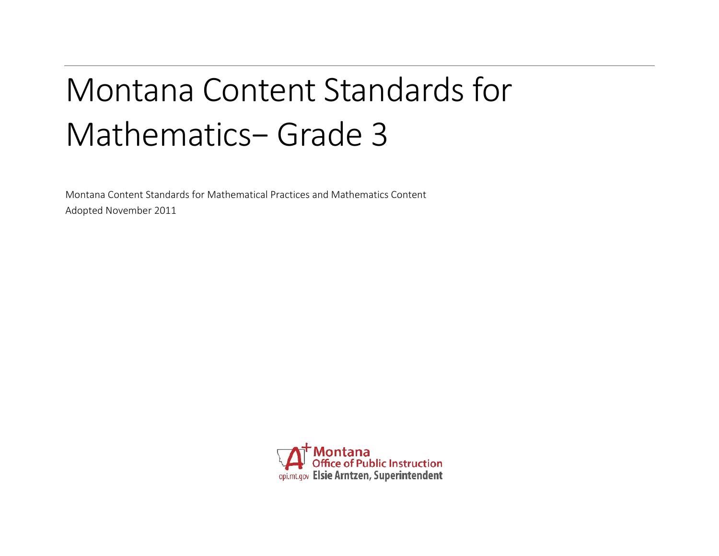# Montana Content Standards for Mathematics− Grade 3

Montana Content Standards for Mathematical Practices and Mathematics Content Adopted November 2011

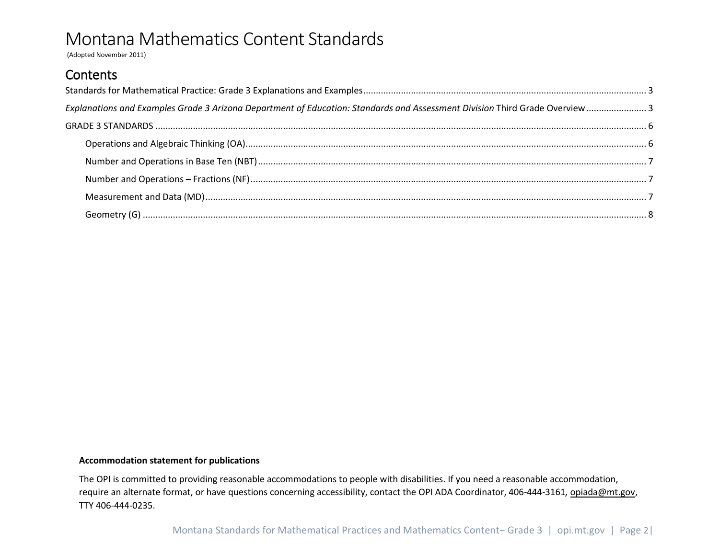(Adopted November 2011)

### Contents

| Explanations and Examples Grade 3 Arizona Department of Education: Standards and Assessment Division Third Grade Overview 3 |  |
|-----------------------------------------------------------------------------------------------------------------------------|--|
|                                                                                                                             |  |
|                                                                                                                             |  |
|                                                                                                                             |  |
|                                                                                                                             |  |
|                                                                                                                             |  |
|                                                                                                                             |  |

#### **Accommodation statement for publications**

The OPI is committed to providing reasonable accommodations to people with disabilities. If you need a reasonable accommodation, require an alternate format, or have questions concerning accessibility, contact the OPI ADA Coordinator, 406-444-3161*,* [opiada@mt.gov,](mailto:opiada@mt.gov) TTY 406-444-0235.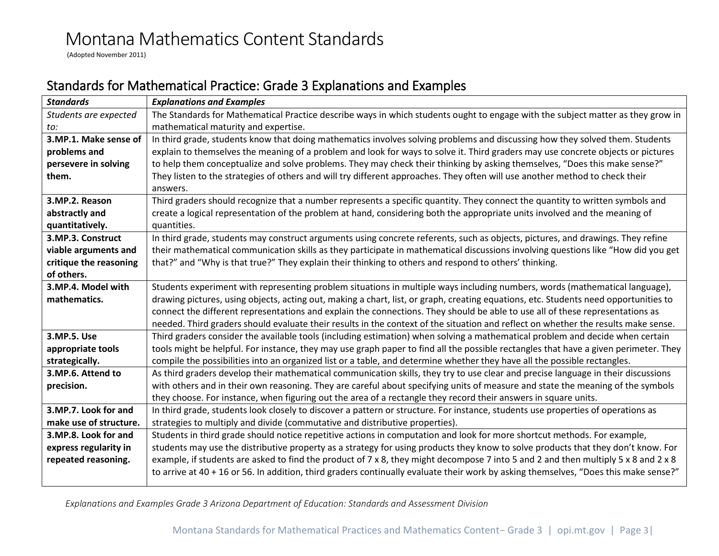(Adopted November 2011)

### <span id="page-2-0"></span>Standards for Mathematical Practice: Grade 3 Explanations and Examples

| <b>Standards</b>       | <b>Explanations and Examples</b>                                                                                                     |  |  |  |  |  |
|------------------------|--------------------------------------------------------------------------------------------------------------------------------------|--|--|--|--|--|
| Students are expected  | The Standards for Mathematical Practice describe ways in which students ought to engage with the subject matter as they grow in      |  |  |  |  |  |
| to:                    | mathematical maturity and expertise.                                                                                                 |  |  |  |  |  |
| 3.MP.1. Make sense of  | In third grade, students know that doing mathematics involves solving problems and discussing how they solved them. Students         |  |  |  |  |  |
| problems and           | explain to themselves the meaning of a problem and look for ways to solve it. Third graders may use concrete objects or pictures     |  |  |  |  |  |
| persevere in solving   | to help them conceptualize and solve problems. They may check their thinking by asking themselves, "Does this make sense?"           |  |  |  |  |  |
| them.                  | They listen to the strategies of others and will try different approaches. They often will use another method to check their         |  |  |  |  |  |
|                        | answers.                                                                                                                             |  |  |  |  |  |
| 3.MP.2. Reason         | Third graders should recognize that a number represents a specific quantity. They connect the quantity to written symbols and        |  |  |  |  |  |
| abstractly and         | create a logical representation of the problem at hand, considering both the appropriate units involved and the meaning of           |  |  |  |  |  |
| quantitatively.        | quantities.                                                                                                                          |  |  |  |  |  |
| 3.MP.3. Construct      | In third grade, students may construct arguments using concrete referents, such as objects, pictures, and drawings. They refine      |  |  |  |  |  |
| viable arguments and   | their mathematical communication skills as they participate in mathematical discussions involving questions like "How did you get    |  |  |  |  |  |
| critique the reasoning | that?" and "Why is that true?" They explain their thinking to others and respond to others' thinking.                                |  |  |  |  |  |
| of others.             |                                                                                                                                      |  |  |  |  |  |
| 3.MP.4. Model with     | Students experiment with representing problem situations in multiple ways including numbers, words (mathematical language),          |  |  |  |  |  |
| mathematics.           | drawing pictures, using objects, acting out, making a chart, list, or graph, creating equations, etc. Students need opportunities to |  |  |  |  |  |
|                        | connect the different representations and explain the connections. They should be able to use all of these representations as        |  |  |  |  |  |
|                        | needed. Third graders should evaluate their results in the context of the situation and reflect on whether the results make sense.   |  |  |  |  |  |
| 3.MP.5. Use            | Third graders consider the available tools (including estimation) when solving a mathematical problem and decide when certain        |  |  |  |  |  |
| appropriate tools      | tools might be helpful. For instance, they may use graph paper to find all the possible rectangles that have a given perimeter. They |  |  |  |  |  |
| strategically.         | compile the possibilities into an organized list or a table, and determine whether they have all the possible rectangles.            |  |  |  |  |  |
| 3.MP.6. Attend to      | As third graders develop their mathematical communication skills, they try to use clear and precise language in their discussions    |  |  |  |  |  |
| precision.             | with others and in their own reasoning. They are careful about specifying units of measure and state the meaning of the symbols      |  |  |  |  |  |
|                        | they choose. For instance, when figuring out the area of a rectangle they record their answers in square units.                      |  |  |  |  |  |
| 3.MP.7. Look for and   | In third grade, students look closely to discover a pattern or structure. For instance, students use properties of operations as     |  |  |  |  |  |
| make use of structure. | strategies to multiply and divide (commutative and distributive properties).                                                         |  |  |  |  |  |
| 3.MP.8. Look for and   | Students in third grade should notice repetitive actions in computation and look for more shortcut methods. For example,             |  |  |  |  |  |
| express regularity in  | students may use the distributive property as a strategy for using products they know to solve products that they don't know. For    |  |  |  |  |  |
| repeated reasoning.    | example, if students are asked to find the product of 7 x 8, they might decompose 7 into 5 and 2 and then multiply 5 x 8 and 2 x 8   |  |  |  |  |  |
|                        | to arrive at 40 + 16 or 56. In addition, third graders continually evaluate their work by asking themselves, "Does this make sense?" |  |  |  |  |  |
|                        |                                                                                                                                      |  |  |  |  |  |

<span id="page-2-1"></span>*Explanations and Examples Grade 3 Arizona Department of Education: Standards and Assessment Division*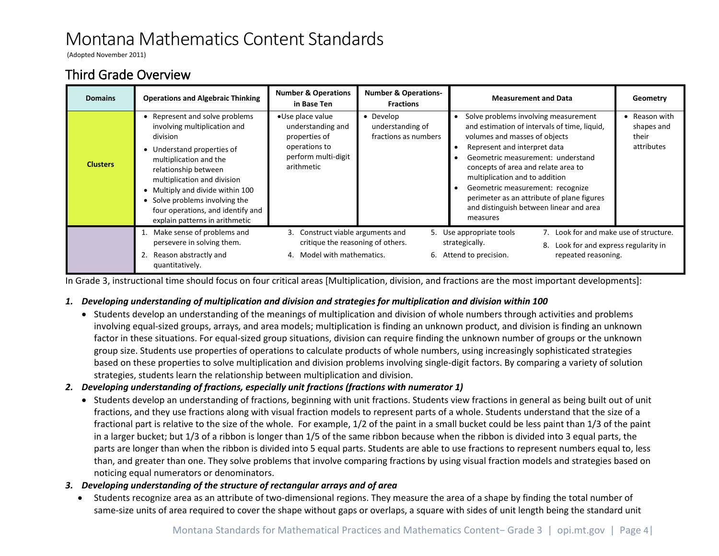(Adopted November 2011)

### Third Grade Overview

| <b>Domains</b>  | <b>Operations and Algebraic Thinking</b>                                                                                                                                                                                                                                                                                               | <b>Number &amp; Operations</b><br>in Base Ten                                                                | <b>Number &amp; Operations-</b><br><b>Fractions</b>   | <b>Measurement and Data</b>                                                                                                                                                                                                                                                                                                                                                                                  | Geometry                                                                                               |  |
|-----------------|----------------------------------------------------------------------------------------------------------------------------------------------------------------------------------------------------------------------------------------------------------------------------------------------------------------------------------------|--------------------------------------------------------------------------------------------------------------|-------------------------------------------------------|--------------------------------------------------------------------------------------------------------------------------------------------------------------------------------------------------------------------------------------------------------------------------------------------------------------------------------------------------------------------------------------------------------------|--------------------------------------------------------------------------------------------------------|--|
| <b>Clusters</b> | • Represent and solve problems<br>involving multiplication and<br>division<br>• Understand properties of<br>multiplication and the<br>relationship between<br>multiplication and division<br>• Multiply and divide within 100<br>• Solve problems involving the<br>four operations, and identify and<br>explain patterns in arithmetic | •Use place value<br>understanding and<br>properties of<br>operations to<br>perform multi-digit<br>arithmetic | • Develop<br>understanding of<br>fractions as numbers | Solve problems involving measurement<br>and estimation of intervals of time, liquid,<br>volumes and masses of objects<br>Represent and interpret data<br>Geometric measurement: understand<br>concepts of area and relate area to<br>multiplication and to addition<br>Geometric measurement: recognize<br>perimeter as an attribute of plane figures<br>and distinguish between linear and area<br>measures | Reason with<br>shapes and<br>their<br>attributes                                                       |  |
|                 | Make sense of problems and<br>persevere in solving them.                                                                                                                                                                                                                                                                               | 3. Construct viable arguments and<br>critique the reasoning of others.<br>4. Model with mathematics.         |                                                       | 5. Use appropriate tools<br>strategically.                                                                                                                                                                                                                                                                                                                                                                   | 7. Look for and make use of structure.<br>8. Look for and express regularity in<br>repeated reasoning. |  |
|                 | Reason abstractly and<br>quantitatively.                                                                                                                                                                                                                                                                                               |                                                                                                              |                                                       | 6. Attend to precision.                                                                                                                                                                                                                                                                                                                                                                                      |                                                                                                        |  |

In Grade 3, instructional time should focus on four critical areas [Multiplication, division, and fractions are the most important developments]:

### *1. Developing understanding of multiplication and division and strategies for multiplication and division within 100*

• Students develop an understanding of the meanings of multiplication and division of whole numbers through activities and problems involving equal-sized groups, arrays, and area models; multiplication is finding an unknown product, and division is finding an unknown factor in these situations. For equal-sized group situations, division can require finding the unknown number of groups or the unknown group size. Students use properties of operations to calculate products of whole numbers, using increasingly sophisticated strategies based on these properties to solve multiplication and division problems involving single-digit factors. By comparing a variety of solution strategies, students learn the relationship between multiplication and division.

#### *2. Developing understanding of fractions, especially unit fractions (fractions with numerator 1)*

• Students develop an understanding of fractions, beginning with unit fractions. Students view fractions in general as being built out of unit fractions, and they use fractions along with visual fraction models to represent parts of a whole. Students understand that the size of a fractional part is relative to the size of the whole. For example, 1/2 of the paint in a small bucket could be less paint than 1/3 of the paint in a larger bucket; but 1/3 of a ribbon is longer than 1/5 of the same ribbon because when the ribbon is divided into 3 equal parts, the parts are longer than when the ribbon is divided into 5 equal parts. Students are able to use fractions to represent numbers equal to, less than, and greater than one. They solve problems that involve comparing fractions by using visual fraction models and strategies based on noticing equal numerators or denominators.

#### *3. Developing understanding of the structure of rectangular arrays and of area*

• Students recognize area as an attribute of two-dimensional regions. They measure the area of a shape by finding the total number of same-size units of area required to cover the shape without gaps or overlaps, a square with sides of unit length being the standard unit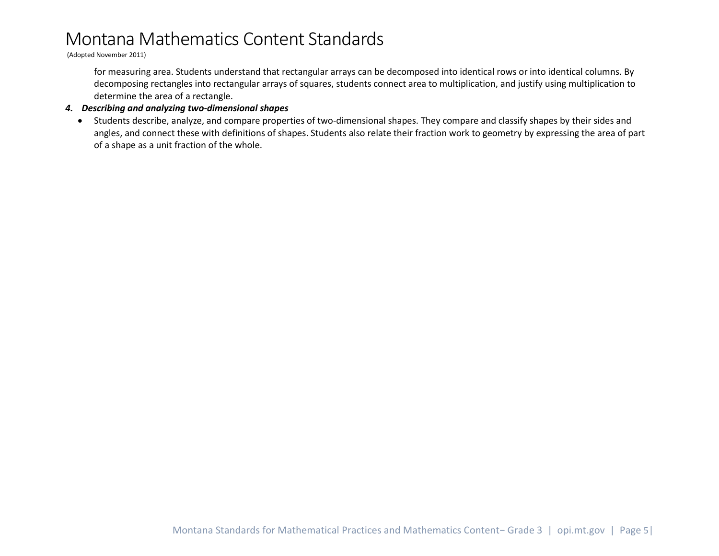(Adopted November 2011)

for measuring area. Students understand that rectangular arrays can be decomposed into identical rows or into identical columns. By decomposing rectangles into rectangular arrays of squares, students connect area to multiplication, and justify using multiplication to determine the area of a rectangle.

#### *4. Describing and analyzing two-dimensional shapes*

• Students describe, analyze, and compare properties of two-dimensional shapes. They compare and classify shapes by their sides and angles, and connect these with definitions of shapes. Students also relate their fraction work to geometry by expressing the area of part of a shape as a unit fraction of the whole.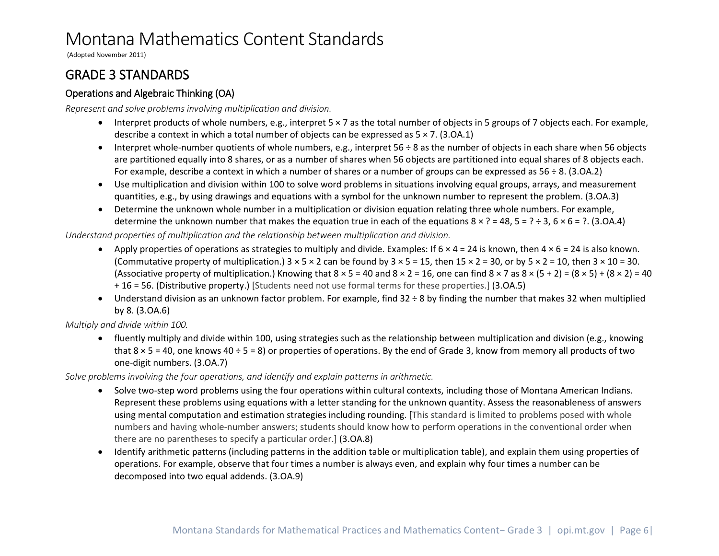(Adopted November 2011)

### <span id="page-5-0"></span>GRADE 3 STANDARDS

### <span id="page-5-1"></span>Operations and Algebraic Thinking (OA)

*Represent and solve problems involving multiplication and division.*

- $\bullet$  Interpret products of whole numbers, e.g., interpret  $5 \times 7$  as the total number of objects in 5 groups of 7 objects each. For example, describe a context in which a total number of objects can be expressed as 5 × 7. (3.OA.1)
- Interpret whole-number quotients of whole numbers, e.g., interpret 56 ÷ 8 as the number of objects in each share when 56 objects are partitioned equally into 8 shares, or as a number of shares when 56 objects are partitioned into equal shares of 8 objects each. For example, describe a context in which a number of shares or a number of groups can be expressed as  $56 \div 8$ . (3.0A.2)
- Use multiplication and division within 100 to solve word problems in situations involving equal groups, arrays, and measurement quantities, e.g., by using drawings and equations with a symbol for the unknown number to represent the problem. (3.OA.3)
- Determine the unknown whole number in a multiplication or division equation relating three whole numbers. For example, determine the unknown number that makes the equation true in each of the equations  $8 \times ? = 48$ ,  $5 = ? \div 3$ ,  $6 \times 6 = ?$ . (3.0A.4)

#### *Understand properties of multiplication and the relationship between multiplication and division.*

- Apply properties of operations as strategies to multiply and divide. Examples: If  $6 \times 4 = 24$  is known, then  $4 \times 6 = 24$  is also known. (Commutative property of multiplication.)  $3 \times 5 \times 2$  can be found by  $3 \times 5 = 15$ , then  $15 \times 2 = 30$ , or by  $5 \times 2 = 10$ , then  $3 \times 10 = 30$ . (Associative property of multiplication.) Knowing that  $8 \times 5 = 40$  and  $8 \times 2 = 16$ , one can find  $8 \times 7$  as  $8 \times (5 + 2) = (8 \times 5) + (8 \times 2) = 40$ + 16 = 56. (Distributive property.) [Students need not use formal terms for these properties.] (3.OA.5)
- Understand division as an unknown factor problem. For example, find 32 ÷ 8 by finding the number that makes 32 when multiplied by 8. (3.OA.6)

*Multiply and divide within 100.* 

• fluently multiply and divide within 100, using strategies such as the relationship between multiplication and division (e.g., knowing that  $8 \times 5 = 40$ , one knows  $40 \div 5 = 8$ ) or properties of operations. By the end of Grade 3, know from memory all products of two one-digit numbers. (3.OA.7)

*Solve problems involving the four operations, and identify and explain patterns in arithmetic.* 

- Solve two-step word problems using the four operations within cultural contexts, including those of Montana American Indians. Represent these problems using equations with a letter standing for the unknown quantity. Assess the reasonableness of answers using mental computation and estimation strategies including rounding. [This standard is limited to problems posed with whole numbers and having whole-number answers; students should know how to perform operations in the conventional order when there are no parentheses to specify a particular order.] (3.OA.8)
- Identify arithmetic patterns (including patterns in the addition table or multiplication table), and explain them using properties of operations. For example, observe that four times a number is always even, and explain why four times a number can be decomposed into two equal addends. (3.OA.9)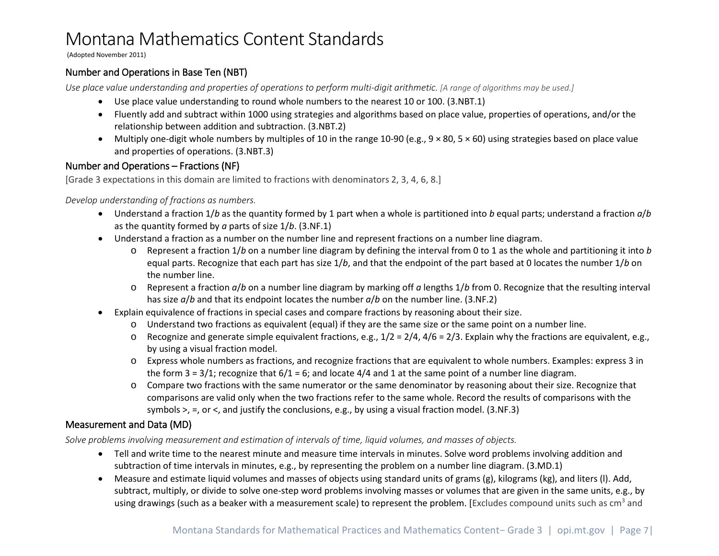(Adopted November 2011)

### <span id="page-6-0"></span>Number and Operations in Base Ten (NBT)

*Use place value understanding and properties of operations to perform multi-digit arithmetic. [A range of algorithms may be used.]*

- Use place value understanding to round whole numbers to the nearest 10 or 100. (3.NBT.1)
- Fluently add and subtract within 1000 using strategies and algorithms based on place value, properties of operations, and/or the relationship between addition and subtraction. (3.NBT.2)
- Multiply one-digit whole numbers by multiples of 10 in the range 10-90 (e.g.,  $9 \times 80$ ,  $5 \times 60$ ) using strategies based on place value and properties of operations. (3.NBT.3)

### <span id="page-6-1"></span>Number and Operations – Fractions (NF)

[Grade 3 expectations in this domain are limited to fractions with denominators 2, 3, 4, 6, 8.]

#### *Develop understanding of fractions as numbers.*

- Understand a fraction 1/*b* as the quantity formed by 1 part when a whole is partitioned into *b* equal parts; understand a fraction *a*/*b* as the quantity formed by *a* parts of size 1/*b*. (3.NF.1)
- Understand a fraction as a number on the number line and represent fractions on a number line diagram.
	- o Represent a fraction 1/*b* on a number line diagram by defining the interval from 0 to 1 as the whole and partitioning it into *b*  equal parts. Recognize that each part has size 1/*b*, and that the endpoint of the part based at 0 locates the number 1/*b* on the number line.
	- o Represent a fraction *a*/*b* on a number line diagram by marking off *a* lengths 1/*b* from 0. Recognize that the resulting interval has size *a*/*b* and that its endpoint locates the number *a*/*b* on the number line. (3.NF.2)
- Explain equivalence of fractions in special cases and compare fractions by reasoning about their size.
	- o Understand two fractions as equivalent (equal) if they are the same size or the same point on a number line.
	- $\circ$  Recognize and generate simple equivalent fractions, e.g.,  $1/2 = 2/4$ ,  $4/6 = 2/3$ . Explain why the fractions are equivalent, e.g., by using a visual fraction model.
	- o Express whole numbers as fractions, and recognize fractions that are equivalent to whole numbers. Examples: express 3 in the form  $3 = 3/1$ ; recognize that  $6/1 = 6$ ; and locate  $4/4$  and 1 at the same point of a number line diagram.
	- o Compare two fractions with the same numerator or the same denominator by reasoning about their size. Recognize that comparisons are valid only when the two fractions refer to the same whole. Record the results of comparisons with the symbols >, =, or <, and justify the conclusions, e.g., by using a visual fraction model. (3.NF.3)

### <span id="page-6-2"></span>Measurement and Data (MD)

*Solve problems involving measurement and estimation of intervals of time, liquid volumes, and masses of objects.*

- Tell and write time to the nearest minute and measure time intervals in minutes. Solve word problems involving addition and subtraction of time intervals in minutes, e.g., by representing the problem on a number line diagram. (3.MD.1)
- Measure and estimate liquid volumes and masses of objects using standard units of grams (g), kilograms (kg), and liters (l). Add, subtract, multiply, or divide to solve one-step word problems involving masses or volumes that are given in the same units, e.g., by using drawings (such as a beaker with a measurement scale) to represent the problem. [Excludes compound units such as cm<sup>3</sup> and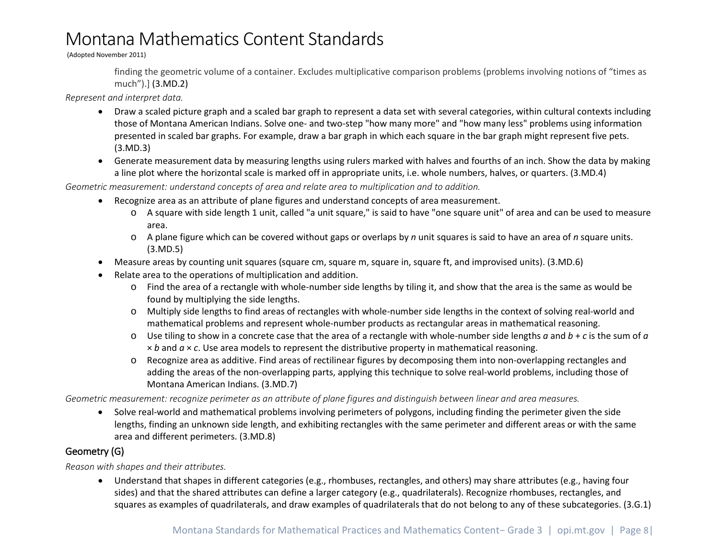(Adopted November 2011)

finding the geometric volume of a container. Excludes multiplicative comparison problems (problems involving notions of "times as much").] (3.MD.2)

*Represent and interpret data.*

- Draw a scaled picture graph and a scaled bar graph to represent a data set with several categories, within cultural contexts including those of Montana American Indians. Solve one- and two-step "how many more" and "how many less" problems using information presented in scaled bar graphs. For example, draw a bar graph in which each square in the bar graph might represent five pets. (3.MD.3)
- Generate measurement data by measuring lengths using rulers marked with halves and fourths of an inch. Show the data by making a line plot where the horizontal scale is marked off in appropriate units, i.e. whole numbers, halves, or quarters. (3.MD.4)

*Geometric measurement: understand concepts of area and relate area to multiplication and to addition.*

- Recognize area as an attribute of plane figures and understand concepts of area measurement.
	- o A square with side length 1 unit, called "a unit square," is said to have "one square unit" of area and can be used to measure area.
	- o A plane figure which can be covered without gaps or overlaps by *n* unit squares is said to have an area of *n* square units. (3.MD.5)
- Measure areas by counting unit squares (square cm, square m, square in, square ft, and improvised units). (3.MD.6)
- Relate area to the operations of multiplication and addition.
	- o Find the area of a rectangle with whole-number side lengths by tiling it, and show that the area is the same as would be found by multiplying the side lengths.
	- o Multiply side lengths to find areas of rectangles with whole-number side lengths in the context of solving real-world and mathematical problems and represent whole-number products as rectangular areas in mathematical reasoning.
	- o Use tiling to show in a concrete case that the area of a rectangle with whole-number side lengths *a* and *b* + *c* is the sum of *a* × *b* and *a* × *c*. Use area models to represent the distributive property in mathematical reasoning.
	- o Recognize area as additive. Find areas of rectilinear figures by decomposing them into non-overlapping rectangles and adding the areas of the non-overlapping parts, applying this technique to solve real-world problems, including those of Montana American Indians. (3.MD.7)

*Geometric measurement: recognize perimeter as an attribute of plane figures and distinguish between linear and area measures.*

• Solve real-world and mathematical problems involving perimeters of polygons, including finding the perimeter given the side lengths, finding an unknown side length, and exhibiting rectangles with the same perimeter and different areas or with the same area and different perimeters. (3.MD.8)

### <span id="page-7-0"></span>Geometry (G)

*Reason with shapes and their attributes.*

• Understand that shapes in different categories (e.g., rhombuses, rectangles, and others) may share attributes (e.g., having four sides) and that the shared attributes can define a larger category (e.g., quadrilaterals). Recognize rhombuses, rectangles, and squares as examples of quadrilaterals, and draw examples of quadrilaterals that do not belong to any of these subcategories. (3.G.1)